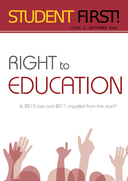### Issue 1, september 2010 STUDENT FIRST!

# RIGHT to EDUCATION

Is 2010 lost and 2011 crippled from the start?

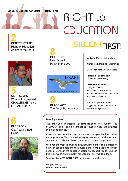#### **Issue 1, September 2010** CONTENT

## **RIGHT to** EDUCATION

**2 centre staTe** Right to Education: Affairs of the State



**5 on the spot** What is the greatest CHALLENGE facing RTE Act 2009?





**8 offshore** New School Policy in the UK



**9 class act** The Art of Re-Invention

### STUDENTFIRST!

**Editor-in-Chief:** Parth J Shah

**Managing Editor:** Baishali Bomjan

**Correspondent:** Leah Verghese

**Printed & Published by:** Centre for Civil Society

#### **Place of Publication:**

A-69, Hauz Khas New Delhi - 110016, India Tel: +91 11 26537456 / 26521882 Fax: +91 11 26512347

For subscription, information, suggestion or feedback email at: **studentfirst@ccs.in**

Dear Supporters,

The School Choice Campaign is delighted to bring to you our first issue of STUDENT FIRST! an online magazine focused on education policies in India and abroad.

As we plan to expand the magazine, we welcome your feedback, ideas and suggestions. We are also looking for freelance contributors and columnists. For details please contact us at studentfirst@ccs.in.

We hope the magazine will be a powerful medium of communication between stakeholders and the government to bring about the much needed reforms in the education sector. We request you to join us in this initiative to ensure quality schooling for every child in India.

To subscribe to **STUDENT FIRST!** visit www.schoolchoice.in

Happy Reading! **School Choice Team**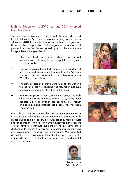#### Right to Education: Is 2010 lost and 2011 crippled from the start?

This first issue of Student First deals with the much discussed Right to Education Act. There is no other burning issue in Indian education 2010 that needs more attention than this legislation. However, the interpretation of the legislation is a matter of personal perspective. But as agreed by many there are some indisputable challenges ahead:

- Litigations filed by various schools and school associations challenging the Act's stipulation to regulate private schools.
- The Centre/State budget division of a proportion of 55:45 decided by parliament long before the Act came into force has been opposed by some States including West Bengal and Orissa.
- The slow process of drafting State Rules for the Act and the lack of a definite deadline has resulted in not even one State coming out with a final set of rules.
- Admissions process was complete in private schools when the Act came into force in April 2010, so the much debated 25 % reservation for economically weaker and socially disadvantaged 1st graders has not been implemented.

Even if these issues are resolved this year, proper implementation of this Act will take longer given government inertia and only limited public and civil society pressure. Schools, media, courts and of course the Ministry of Human Resource Development will all have to contribute substantially to overcome these challenges to ensure that proper implementing mechanisms and accountability measures are put in place. We hope that we will be able to overcome these teething problems by the next academic year and finally enjoy our universal fundamental right to education.









Parth J Shah Editor-in-Chief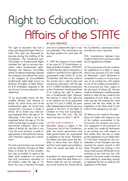## Right to Education: Affairs of the STATE

The right to education has had a long and chequered legal history in India. This right was discussed extensively during the drafting of the Constitution. The Constituent Sub-Committee on Fundamental Rights included the right to primary education within fundamental rights. However the Advisory Committee of the Constituent Assembly rejected this proposal and placed the same in the category of non-justifiable fundamental rights (later known as Directive Principles of State Policy). Dr B R Ambedkar objected to the use of word 'primary education' and stated that:

*"If my honourable friend, Mr Naziruddin Ahmad had referred to Article 18, which forms part of the fundamental rights, he would have noticed that a provision is made in Article 18 to forbid any child being employed below the age of 14. Obviously, if the child is not to be employed below the age of 14, the child must be kept occupied in some educational institution. That is the object of Article 36, and that is why I say the word 'primary' is quite inappropriate in that particular clause, and I therefore oppose this amendment."*

Thus the word primary was removed and the Directive Principle of State Policy in Article 45 of the Constitution was re-worded, to read as the State shall endeavour to provide free and compulsory education to all children under the age of 14. Since this was a Directive Principle

#### By Leah Verghese

and not a fundamental right, it was not justiciable. This continued to be the legal position for more than 40 years.

In 1993 the Supreme Court stated in the case of J P Unnikrishnan vs. State of Andhra Pradesh, 1993 SCC (1) 645 that the right to education is implicit in and flows from right to life guaranteed under Article 21 of the Constitution and that every child of this country has a right to free and compulsory education until the age of 14. In 2002, the 86th amendment to the Constitution introduced Article 21-A making the right to education a fundamental right. However the manner in which this right was to be realised was to be prescribed by law. It is only in 2009, 62 years after Independence that this law was passed in the form of the Right of Children to Free and Compulsory Education Act ('the Act'). The Act came into force on April 1, 2010.

#### CENTRE-STATE INTERFACE

Education being a subject in the Concurrent List of the Constitution, both the Union government and State governments are empowered to legislate on the same. Therefore, the states have been given the flexibility to frame their own Rules to suit their local needs and conditions within the broad perimeter of the Act.

A question on many people's minds is to what extent the state Rules or a distinct state Act can be contradictory to the Central Act. Article 254 of the Constitution, reproduced below provides for such a scenario:

254. Inconsistency between laws made by Parliament and laws made by the Legislatures of States

*(1) If any provision of a law made by the Legislature of a State is repugnant to any provision of a law made by Parliament, which Parliament is competent to enact, or to any provision of an existing law with respect to one of the matters enumerated in the Concurrent List, then, subject to the provisions of clause (2), the law made by Parliament, whether passed before or after the law made by the Legislature of such State, or, as the case may be, the existing law, shall prevail and the law made by the Legislature of the State shall, to the extent of the repugnancy, be void.*

*(2) Where a law made by the Legislature of a State with respect to one of the matters enumerated in the Concurrent List contains any provision repugnant to the provisions of an earlier law made by Parliament or an existing law with respect to that matter, then, the law so made by the Legislature of such State shall, if it has been reserved for the consideration of the President and has received his assent, prevail in that State: Provided that nothing in this clause shall prevent Parliament from enacting at any time any law with respect to the same matter including a law adding to, amending, varying or repealing the law so made by the Legislature of the State.*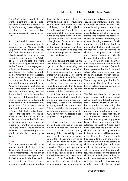#### Article 254 makes it clear that in the event of a conflict between a legislation of the Centre and a State in List III, the Central legislation will prevail except where the State legislation has been accorded Presidential assent.

Such Presidential assent cannot be merely a mechanical assent. In Kaiser-e-Hind vs. National Textile Corporation and others, 2002(8) SCC 182, the Supreme Court specifically stated that, the words 'reserved for consideration' in Article 254(2) would indicate that there should be active application of mind by the President to the repugnancy pointed out between the proposed State law and the earlier law made by the Parliament and the necessity of having such a law, in facts and circumstances of the matter, which is repugnant to a law enacted by the Parliament prevailing in a State. The word 'consideration' would mean that after careful thinking over and due application of mind regarding the necessity of having State law which is repugnant to the law made by the Parliament, the President may grant assent. This aspect is further reaffirmed by use of word 'assent' in Clause (2) which implies knowledge of the President to the repugnancy between the State law and the earlier law made by the Parliament on the same subject matter and the reasons for grant of such assent. The word 'assent' would mean in the context an expressed agreement of mind to what is proposed by the State.

#### **STATES**

The litmus test of the Act will be the manner in which the States draft the Rules under it and how the same will be implemented. The Ministry of Human Resource Development has drafted a set of Model Rules which was given to the States for them to use as a boilerplate for drafting

their own Rules. Various State governments have held consultations with experts and come out with draft Rules, some of which (Andhra Pradesh, Madhya Pradesh, Karnataka and Delhi) have been placed in the public domain for comments. A perusal of the Rules reveals that although most States have more or less followed the broad contours of the Model Rules, some of them have been innovative and proposed some interesting Rules which are examined in this section.

Many experts have criticised the RTE Act's focus on children between the ages of 6 to 14, thus ignoring preschool or early childhood education. It has been suggested that the Integrated Child Development Scheme (ICDS) be linked to and feed into the RTE Act, so that adequate early childhood education can be provided to prepare children to enter into school at the age of 6. The draft Karnataka Rules have attempted to correct this anomaly by stating that the government shall ensure that a pre-primary centre is attached to every primary school in the event there is no anganwadi centre in the area. This is a well-thought out provision since anganwadis set up under the ICDS do not have widespread geographical coverage as yet.

The RTE Act manifests a clear inputoriented bias and has overlooked the need to monitor learning outcomes in order to ensure quality learning. This is especially important given the no-detention provision of the RTE Act, under which no child can be detained in any class until the completion of elementary education. There is an opportunity for States to plug this gap through their Rules. Karnataka and Andhra Pradesh have attempted to do this in their draft Rules. The Andhra Rules state that the academic authority will also be responsible for developing

#### **CENTRE STAGE**

performance indicators for the individuals and institutions along with accountability criteria towards children's learning levels, undertaking periodic performance appraisal of individuals and institutions, commissioning and undertaking research/ studies on policies, programs, curriculum, learning outcomes of children etc. The draft Karnataka Rules provide that the State shall regularly monitor the levels of learning of children in all government, aided and unaided elementary schools through the Karnataka State Quality Assessment Organisation (KSQAO) and bring out annual reports on the quality of education. Apart from this it also provides that the State shall subject 5% of schools every year to a third party evaluation which will help to improve quality in these schools. This is a step in the right direction for assuring quality elementary education to children and can serve as a model for other states.

The Act prescribes that all government schools and private aided schools must have School Management Committees (SMCs) which will be responsible for monitoring the functioning of the schools and preparing school development plans. The Act also prescribes that 75% of the Committee will comprise of parents but has not given any guidelines on how these parents will be selected. The Madhya Pradesh draft Rules state that the parents of the children who got the highest marks in the annual exam will be members of this Committee. Andhra Pradesh has sought to be even more innovative and stated that the parents of children with the highest and lowest marks in the annual examination will be members of this Committee. It is not clear why the parents of children with the highest and lowest marks deserve a place in the SMCs while the others do not. A more equitable manner of selection would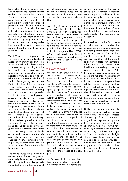be to allow the entire body of parents to vote for their representatives on the SMCs. These Rules also provide that representatives from local authorities on the Committee will not have any voting rights. This will prevent undue political interference in the running of the school, especially in the appointment of teachers and admission of children. In practice the SMCs lack teeth since they do not have any disciplinary authority over teachers, who are key to delivering quality education. However, none of these draft State Rules have provided for this.

The RTE Act has not provided a framework for tackling educational needs of migratory children. The Andra Pradesh Rules have sought to redress this by providing that the State shall make appropriate arrangements for tracking the children migrating from one district to another within the State or children of the families migrating from Andhra Pradesh to other States or children of the families migrating from other States into Andhra Pradesh along with their parents. It also provides that the Government shall provide seasonal hostels in the villages known for migration of labour, either on a seasonal basis or for a longer time cycle so that the children will stay back when their parents migrate to other places to ensure that these children are provided education and suitable residential facility. It has also been prescribed that the Government shall make arrangements for the education of the migrant children coming from other States, by setting up on-site schools at the work places where the migrant labour from other States are engaged in any economic activity in groups, in consultation with the State concerned from where the labour have migrated.

The Model Rules have prescribed uniform terms of service for government and private teachers. It may be difficult for private schools especially the budget ones to afford salaries at

par with government teachers. The AP and Karnataka Rules provide that private schools have the liberty to decide their own terms and conditions.

Monitoring will be the cornerstone of a successful plan of implementation of the RTE Act. In this regard, Karnataka draft Rules have proposed that the State government present an annual implementation report of the Act to the legislature. This would be along the lines of the reports required to be submitted in respect of flagship programs like NREGA, SSA etc. and would cover physical progress (creation of infrastructure), allocation and utilisation of funds during the year.

#### THE WAY FORWARD

Although much ground has been covered there is still room for improvement in so far as the State Rules are concerned. The Act provides for a 25% quota for economically weaker sections and disadvantaged groups in private unaided schools. However the Rules are silent about the method of selection of the children under the 25% quota in the event demand for the same exceeds supply. The selection of such students can be carried by one of two methods, lottery or first-come-first serve. Section 12 of the Act provides that all aided school have to provide free education to such proportion of their students, as the aid received by them from the government bears to their total recurring expenditure. The Act is silent about what criteria the aided schools will use to determine which students they will provide free education to under this section. The Rules can provide that the children given free education under this section shall belong to weaker sections and disadvantaged groups as defined for the purpose of the 25% quota.

The Act states that all schools have three years to obtain recognition in accordance with the norms prescribed thereunder. In the event a school is not accorded recognition within this period it will be shut down. Many budget private schools would not have the resources to meet standards like playground, kitchen for mid-day meals, land norms and hence would be shut down. Consequently all the children studying in such schools will be deprived of an education.

It is therefore advisable for States to make the norms for recognition flexible and adopt a graded recognition and rating system rather than prescribe only one set of norms. Recognition norms should be tailored to suit local conditions at the aroundlevel in every State. For example in urban areas the land norms should be different depending on the location of the school. In a city like Delhi the land norms could be different according to the property tax category of the ward in which the school is located. Under such a system there will be a basic minimum threshold below which schools will be de-recognised. Above this threshold there should be various tiers at which schools will be rated according to learning outcomes, teachers' training, physical infrastructure, pupilteacher ratio and the like.

Unlike other fundamental rights, the right to education has been realized after a long and tortuous process. The passing of the Act represents a good first step towards guaranteeing elementary education to all children in India. However we have miles to go before we see a situation where every child between the ages of 6 and 14 can demand this right. The success of the Act depends on a combination of political will, cooperation from the States and a vibrant engagement of civil society to hold the government responsible for enforcing this right.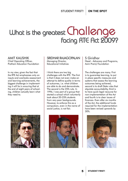### What is the greatest  $Challenge$ facing RTE Act 2009?

Amit Kaushik Chief Operating Officer, Pratham Education Foundation

In my view, given the fact that the RTE Act emphasises only on inputs and overlooks assessment and learning achievements, the biggest challenge in implementing it will lie in ensuring that at the end of eight years of schooling, children actually learn what they need to.



Managing Director, Educational Initiatives

I think there are two big challenges with the RTE. The first is that it does not even make an attempt to define quality in terms of outcomes, i.e. what children are able to do and demonstrate. The second is the 25% rule. In 1996, I was part of a group that started a school which voluntarily took about 20-25% students from very poor backgrounds. However, to enforce this as a compulsion, even in the name of social justice, is not fair.





#### S Giridhar Head - Advocacy and Programs, Azim Premji Foundation

The challenges are many. First is to guarantee learning, to put in place specific measures and systems that assess the learning outcomes being achieved, second is to draft State rules that stipulate accountability, third is to have quick legal recourse for non-implementation of the Act and fourth is to clear issues of finances. Even after six months of the Act, the additional funds required for the implementation have been revised upwards by 30%.

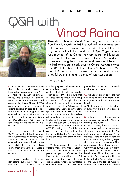**STUDENT FIRST!** 

**IN PERSON** 

### $SA$  with Vinod Raina



Theoretical physicist, Vinod Raina resigned from his job from Delhi University in 1982 to work full time at grass roots in the areas of education and rural development through organisations like Eklavya and Bharat Gyan Vigyan Samiti. As a member of the Central Advisory Board for Education, he was part of the drafting process of the RTE Act, and very active in ensuring the introduction and passage of the Act in the Parliament, particularly after the Central Act was shelved in 2006. He has been a fellow of Homi Bhabha, Nehru Memorial Museum and Library, Asia Leadership, and an honorary fellow of the Indian Science Writers Association.

Q. RTE has had two amendments shortly after its proclamation. Is it likely to happen again and why? A. There will obviously be amendments, and clamour for amendments, in such an important and contested legislation. The April 2010 amendment, now in Parliament, of adding disabled children to the definition of disadvantaged groups was expected, as also the reference to the Trust Act in addition to the Children with Disabilities Act 1996, since the latter does not include mental disabilities.

The second amendment of April 2010 making the School Management Committees of minority institutions as advisory bodies was also expected (one accepts it reluctantly) since Article 30 of the Constitutions grants them autonomy in schooling issues so there is little one can do about it.

Q. Education has been a State subject before, but is now since 1976 concurrent. Will the State Rules of

#### By Jan Sj Rao

RTE change power balance in favour of more State power?

A. This is the first Central Act in education since 1950. RTE is an Act that all States have to follow; like having the same set of principles for curriculum, for instance. In that sense, some may think of the Act as more of centralization. The major centre-state question is about finances. As a Sentral Act, the States are demanding adequate financing from the Centre; to change the present sharing ratio of 55:45 to even 90:10. I believe the centre-state balance can be met at a 75:25 sharing ratio. The Rules are only meant to facilitate implementation in the States, the Act lays down all the principles every State must follow.

Q. What changes would you like the States to make in the Model Rules?

A. As little as possible, except for proper adaptation. Otherwise the Rules are likely to be diluted. The Act and Rules lay down minimal norms and standards for schools that States should implement. There is little to be

gained if a State lowers its standards to what exists in the Act.

Q. Are you aware of any State that has made significant changes (in either good or bad direction) in their Rules?

A. No. I know of some drafts but not of Rules that have been placed in State Assemblies.

Q. Is there a role to play for popular movements/ civil society/ NGO in framing State Rules?

A. Yes of course, there is an important role for NGOs in this respect. They have been involved in the Rule making process in UP, Orissa, AP for instance. There is a critical role for them in monitoring schools, especially for grassroots movements. They can also assist School Management Committees (SMCs) and train them, particularly in developing School Development Plans. They may also work with *Panchayati Raj* Institutions (PRIs) and other 'local authorities' as per the Act, in the task of mapping schools and children and thereby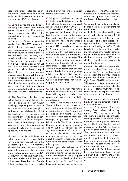identifying proper sites for neighbourhood schools. Bringing to notice violations of the Act is another important area for NGOs to take on.

Q. Some expected the State Rules to include greater details and provide greater clarity on how 25% reservations in private schools will be implemented. What are your views on this subject?

A. There are sufficient details in the Model Rules. The 25% quota is for children from economically weaker and disadvantaged sections from the neighbourhood. If more children seek admission than the seats, a lottery done in front of parents will have to be invoked. This random selection is true for all admissions, not just the 25 %. No more interviews with parents. All children have an equal chance to learn. The important admission procedures must be public and transparent. Some people have demanded that the 25% quota should be further subdivided so that girls, *adivasis* and minority children are not overlooked; well that is open for States to consider for their Rules.

Q. The State Rules talk about how school buildings cannot be used for any other purpose other than regular teaching. Do you agree with this Rule or should there be some leeway? A. I feel school buildings should not be used for commercial purposes, like renting out to weddings, coaching shops etc.; but if there are sports, arts classes in the evening or bridge courses for mainstreaming underprivileged children, the usage of space could be allowed.

Q. With minority institutions run schools only required to form SMCs with an advisory capacity as in the proposed April 2010 Amendment, do you think these structures will have any real power over the management and running of these schools? A. No, they will not have much influence. Personally I am not happy with this state of affairs, but it is a Constitutional problem that is unlikely to be changed given the kind of political climate the country is in.

Q. Will government have the capacity to take in the students in govt. schools that will have to leave unrecognized schools which are shut in 2013?

A. If these schools face closure, the Act provides that before taking action, the other schools in the neighbourhood must be alerted, and if necessary, new neighbourhood schools opened. The financial estimates for RTE cover all the children in the 6-14 age group. The percentage of children in this age group in private unaided schools is around 8%, so the problem is not that large. The real problem is the imminent closure of government schools not meeting standards prescribed in the Act.

That is a much larger problem that can only be dealt with by upgrading existing schools, or build new one which takes a longer time. In Kerala, Orissa and other States such a planning process has started.

Q. Do you think that monitoring structures as defined by the Act and Rules with regards to student outcomes and teacher accountability are adequate?

A. There is little in the Act on this. The Act is based on the premise that good and adequate inputs will result in good outcomes. The Act does not prescribe children testing outcomes such as a certain passing mark percentage for graduation in 5th or 8th standards. The Act only ensures 8 years of schooling of equitable quality. But the Model Rules specify "systemic evaluation of outcomes", which not only pertains to students' academic achievements, but also about the quality of teachers, school functioning and other systemic issues affecting quality.

It is not a good idea to have specific sanctions for teacher absenteeism for instance in the Act, stating how many days unsanctioned leave equals certain penal implications. The Act leaves that to the Teachers' Conduct Rules and Teachers' Service Rules in various States. The SMCs also have a role to play in monitoring teachers, so I do not agree with the view that the Act and Rules are silent on this.

Q. Do you think the financial allocation for the implementation of the Act is adequate?

A. Not by far, but it is something; especially after the additional 60 000 crores adding to a total five year RTE budget of 2. 3 lakh crores. The figure is perhaps a conservative estimate considering that 80 - 90 million children out of school need to be mainstreamed into regular schools. No one has a reliable figure of these children, at least not the DISE data. A child enrolled does not imply she is regularly attending.

One must live with this five year demand, but when States start to implement the Act, the real figures will emerge from the ground. There is a great deal of under expenditure in eight States (BIMARU + Jharkhand, WB, Assam, Orissa), meaning that more money alone will not solve the problem – States must have functional systems to expend increased allocations as per requirements.

Q. What do you see as key roadblocks in the implementation of the RTE Act and Rules?

A. Lack of awareness of the Act among States, MLAs, civil society, parents, SMCs, teacher unions, PRIs etc. There is a terrible lack of understanding at all levels as of now. There must be proper implementation processes at State level, but the minimal awareness of the Act may lead to problems at the formative stage.

The bureaucracy in State education departments is a major roadblock and the only thing that may make them move forward is when courts intervene. The case of the girl (Suman) expelled from a prominent private school in Delhi shows this, as the school had to act (take her and 22 others back) after the Delhi High Court's verdict based on the RTE Act.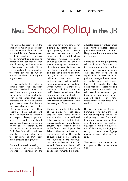## New School Policy in the UK

The United Kingdom is on the cusp of a major transformation in its educational landscape. As promised by the Conservatives in their election manifesto, the government is planning to introduce the concept of 'free schools' along the lines of those in Sweden and the United States. The schools will be funded by the State but will be run by parents, teachers or non-profit organisations.

The big push for this policy is coming from the Education Secretary Michael Gove. He said "Hundreds of groups, from teachers themselves to charities such as the Sutton Trust, have expressed an interest in starting great new schools. Just like the successful charter schools in the US, supported across the political spectrum, these schools will have the freedom to innovate and respond directly to parents' needs. The new 'free schools' will also be incentivised to concentrate on the poorest children by the introduction of the government's Pupil Premium which will see schools receiving extra funds for educating children from disadvantaged backgrounds."

Groups interested in setting up free schools will have to show evidence of demand in the

local area for a new school, for example by getting parents to sign a petition, locate a suitable site, and set out the school's aims, curriculum, and teaching methods. Individual members of such groups will be vetted to ensure that they are not members of outlawed organisations, do not have criminal convictions and are not a risk to children. Gove, who has set aside £50 million to cover start-up costs for free schools, said they will be monitored by education regulator Ofsted (Office for Standards in Education, Children's Services and Skills) and face closure if they do not meet expected standards. Gove has promised that planning laws will also be eased to facilitate the setting up of free schools.

Convincing people of the merits of this policy has not been easy for Gove. Some Swedish educationalists have criticised it by pointing out that in their country academic standards may actually have slipped overall in the free schools. A paper by Rebecca Allen for the Institute of Education is sceptical of the merits of such a system. Free schools, first launched in the mid-90s, now educate 10% of 11 to 16 year-old Swedes and have had" moderately positive impact" on pupils' achievements, but bettereducated parents in affluent areas and highly-motivated second generation immigrants are most likely to use them, she concludes in her paper.

Others ask how the programme will be financed. Supporters of the programme say that the hue and cry over cost is unnecessary. They say that costs will be significantly cut down since the policy encourages the conversion of derelict shops and disused houses into schools. They also argue that free schools will give parents more choice, reduce the educational achievement gap between rich and poor students and will lead to an overall improvement in standards as a result of competition.

Despite the criticism Gove is brimming with optimism. "So I'm not anticipating failure, I'm anticipating success. But we will be rigorous in ensuring that those who do go down this road are equipped to make it a success. And if they falter, if things goes wrong, if there's any jiggerypokery, schools will close," he said.

The first free schools are expected to open in UK in September 2011.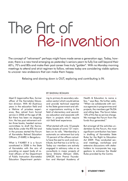## The Art of Re-invention

The concept of "retirement" perhaps might have made sense a generation ago. Today, however, there is a new trend emerging as yesterday's seniors yearn to fully live well beyond their 60's, 70's and 80s and make their post career lives truly "golden". With no Monday morning meetings to attend and strict regimen to follow, retirees today are considering viable options to uncover new endeavors that can make them happy.

Relaxing and slowing down is OUT, exploring and contributing is IN.

Meet D Jagannatha Rao, former officer of the Karnataka Education division. With 40 illustrious years in the education field and a lifetime of priceless experience, Rao retired from formal service in 2006 at the age of 58. But there has been no stopping him. He has post retirement written three books, headed various committees to draft the Karnataka Rules under the RTE Act and in the process started the Forum of Karnataka Retired Education Officers, (F-KARE) in Bengaluru.

What is F-KARE? It is a forum constituted in 2008 in the State of Karnataka with the aim of providing an expert body of retired officers of the Department of Public Instruction (Karnataka Education Department pertain-

#### By Baishali Bomjan

ing to primary & secondary education sector) which would advise and provide technical expertise to the State government and other organizations working in the field of elementary and secondary education and associate with them in projects which require rich field level experience.

What started with only 10 people today boasts of some 121 members on its rolls. "Membership is automatic on retirement but only 10 percent of the officers actually have the zeal to work and contribute, but that too is a lot for us. Today our members are actively engaged in advisory roles or as consultants in major projects of Sarva Shiksha Abhiyan (SSA), UNICEF, Azim Premzi Foundation and Manipal Academy of

Health & Education to name a few, " says Rao. He further adds, "When we collaborate with various agencies in programmes and projects, the members get TA/DA and sitting fees. The forum takes 10% of this fee as service charge. We manage the Forum from the funds thus generated."

But amongst all the activities undertaken by the Forum, the most significant contribution has been in drafting of Karnataka State Rules for the Right to Education Act 2009. They conducted several meetings, workshops and extensive discussions with stakeholders to incorporate key suggestions to enhance the Model Rules provided by the Centre.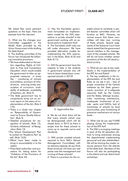We asked Rao some pertinent questions on the topic. Here are excerpts from the interview:

Q. What are the changes your Committee suggested in the Model Rules provided by the Union Government while drafting the State Rules?

A. The drafting committee of the Forum has introduced the following innovative provisions:

- We have elaborated on the section regarding 'Rights of Children to Free and Compulsory Education' which would enable the government to take up appropriate measures in areas like – monitoring of schools and children, provision of infrastructure, ensuring timely prescription of curriculum, availability of textbooks, availability of teachers, etc. (Rule 3)
- The State government has to compulsorily bring out an annual report on the status of implementation of the Act. (Rule 4 (19))
- There is a whole new chapter on 'Responsibility of Government to Ensure Quality Education'. (Rule 5)
- Detailed procedures for recognition of schools. (Rule 12), Similarly withdrawal of Recognition (Rule 13)
- •The School Development Plan to contain an 'Academic Part' as well. (Rule 15(3))
- Efforts have been made to bring in accountability in to the system
- Prescribed authorities and procedure for taking action for 'Violations of the Provisions of the Act' (Rule 25)

Q. Has the Karnataka government formulated an implementation model for the 25% reservations in private schools? Is the government working with an external party to implement this? A. The Karnataka draft rules are

still under discussion. We have provided alternative models for implementing the 25% reservation in the Rules: (Rule 4(10) and Rule 4(11))

Q. Will the government have the capacity to take in the students in government schools who will have to leave closed down unrecognized schools in 2013?



D. Jagannatha Rao

A. We do not think there will be that many schools (which may be derecognized) which will be closed down in 2013 as there is ample time for these schools to come up to requisite norms and standards.

Q. With private unaided schools required to form SMCs (School Management Committees) with an advisory capacity, do you think these structures will have any real power over the management and running of these schools? A. There is a provision for the unaided school to constitute a parent teacher committee which will function as SMC. However, we cannot ensure that these committees will take over running of these schools. Several judgments of the Supreme Court have clearly stated that the government cannot interfere in the management of the unaided schools. We still do not know whether certain provisions of the Act will stand judicial scrutiny.

Q. What do you see as key roadblocks in the implementation of the RTE Act and Rules?

A. The key roadblocks in the implementation of the RTE Act and Rules as we see it are – lack of proper ownership of the Central initiatives by the State governments, provision of in-adequate resources both by the Centre and the States, lethargic bureaucratic monitoring mechanisms, inadequate involvement of private sector and NGOs, lack of ownerships of schools by local communities, poor functioning of grievance mechanisms at various levels.

Q. What role do you see F-KARE playing during the implementation of the RTE Act?

A. The SSA is arranging meetings in each of the 34 education districts to bring awareness among the departmental implementing personnel and also stakeholders. We will be training the master resource persons from the districts at the State level. Members of the Forum will also be participating in the district and sub-district level workshops.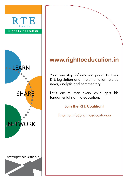# RTE India Right to Education ·· LEARN **SHA NETV JORK** www.righttoeducation.in

### www.righttoeducation.in

Your one stop information portal to track RTE legislation and implementation related news, analysis and commentary.

Let's ensure that every child gets his fundamental right to education.

#### Join the RTE Coalition!

Email to info@righttoeducation.in